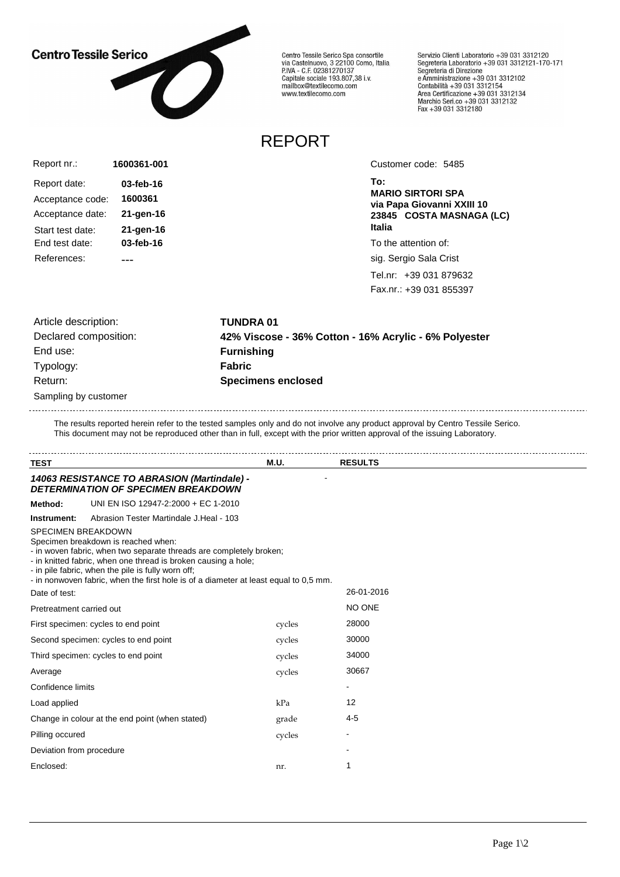## **Centro Tessile Serico**



Centro Tessile Serico Spa consortile<br>via Castelnuovo, 3 22100 Como, Italia<br>P.IVA - C.F. 02381270137 Capitale sociale 193.807,38 i.v. mailbox@textilecomo.com www.textilecomo.com

Servizio Clienti Laboratorio +39 031 3312120 Servizio che il Laboratorio +39 031 3312121-170-171<br>Segreteria Laboratorio +39 031 3312121-170-171 Segreteria di Direzione<br>e Amministrazione +39 031 3312102<br>Contabilità +39 031 3312154<br>Area Certificazione +39 031 3312134<br>Marchio Seri.co +39 031 3312132<br>Fax +39 031 3312180

## REPORT

| Report nr.:      | 1600361-001 |  |
|------------------|-------------|--|
| Report date:     | 03-feb-16   |  |
| Acceptance code: | 1600361     |  |
| Acceptance date: | 21-gen-16   |  |
| Start test date: | 21-gen-16   |  |
| End test date:   | 03-feb-16   |  |
| References:      |             |  |

Customer code: 5485

**To: MARIO SIRTORI SPA via Papa Giovanni XXIII 10 23845 COSTA MASNAGA (LC) Italia**

To the attention of:

sig. Sergio Sala Crist

Tel.nr: +39 031 879632 Fax.nr.: +39 031 855397

| Article description:  |
|-----------------------|
| Declared composition: |
| End use:              |
| Typology:             |
| Return:               |
| Sampling by customer  |

Article description: **TUNDRA 01** Declared composition: **42% Viscose - 36% Cotton - 16% Acrylic - 6% Polyester Furnishing Fabric Specimens enclosed** 

The results reported herein refer to the tested samples only and do not involve any product approval by Centro Tessile Serico. This document may not be reproduced other than in full, except with the prior written approval of the issuing Laboratory.

| <b>TEST</b>               |                                                                                                                                                                                                                                                                                                                            | M.U.   | <b>RESULTS</b> |  |
|---------------------------|----------------------------------------------------------------------------------------------------------------------------------------------------------------------------------------------------------------------------------------------------------------------------------------------------------------------------|--------|----------------|--|
|                           | 14063 RESISTANCE TO ABRASION (Martindale) -<br><b>DETERMINATION OF SPECIMEN BREAKDOWN</b>                                                                                                                                                                                                                                  |        |                |  |
| Method:                   | UNI EN ISO 12947-2:2000 + EC 1-2010                                                                                                                                                                                                                                                                                        |        |                |  |
| Instrument:               | Abrasion Tester Martindale J. Heal - 103                                                                                                                                                                                                                                                                                   |        |                |  |
| <b>SPECIMEN BREAKDOWN</b> | Specimen breakdown is reached when:<br>- in woven fabric, when two separate threads are completely broken;<br>- in knitted fabric, when one thread is broken causing a hole;<br>- in pile fabric, when the pile is fully worn off;<br>- in nonwoven fabric, when the first hole is of a diameter at least equal to 0,5 mm. |        |                |  |
| Date of test:             |                                                                                                                                                                                                                                                                                                                            |        | 26-01-2016     |  |
| Pretreatment carried out  |                                                                                                                                                                                                                                                                                                                            |        | NO ONE         |  |
|                           | First specimen: cycles to end point                                                                                                                                                                                                                                                                                        | cycles | 28000          |  |
|                           | Second specimen: cycles to end point                                                                                                                                                                                                                                                                                       | cycles | 30000          |  |
|                           | Third specimen: cycles to end point                                                                                                                                                                                                                                                                                        | cycles | 34000          |  |
| Average                   |                                                                                                                                                                                                                                                                                                                            | cycles | 30667          |  |
| Confidence limits         |                                                                                                                                                                                                                                                                                                                            |        | ۰              |  |
| Load applied              |                                                                                                                                                                                                                                                                                                                            | kPa    | 12             |  |
|                           | Change in colour at the end point (when stated)                                                                                                                                                                                                                                                                            | grade  | $4 - 5$        |  |
| Pilling occured           |                                                                                                                                                                                                                                                                                                                            | cycles |                |  |
| Deviation from procedure  |                                                                                                                                                                                                                                                                                                                            |        |                |  |
| Enclosed:                 |                                                                                                                                                                                                                                                                                                                            | nr.    | 1              |  |
|                           |                                                                                                                                                                                                                                                                                                                            |        |                |  |